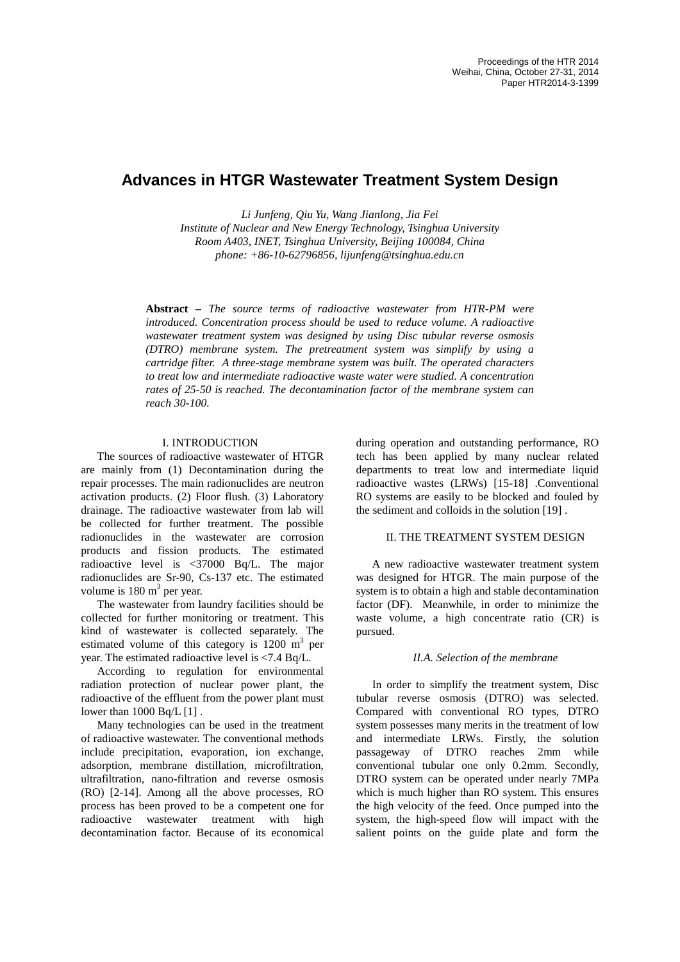# **Advances in HTGR Wastewater Treatment System Design**

*Li Junfeng, Qiu Yu, Wang Jianlong, Jia Fei Institute of Nuclear and New Energy Technology, Tsinghua University Room A403, INET, Tsinghua University, Beijing 100084, China phone: +86-10-62796856, lijunfeng@tsinghua.edu.cn*

**Abstract –** *The source terms of radioactive wastewater from HTR-PM were introduced. Concentration process should be used to reduce volume. A radioactive wastewater treatment system was designed by using Disc tubular reverse osmosis (DTRO) membrane system. The pretreatment system was simplify by using a cartridge filter. A three-stage membrane system was built. The operated characters to treat low and intermediate radioactive waste water were studied. A concentration rates of 25-50 is reached. The decontamination factor of the membrane system can reach 30-100.*

# I. INTRODUCTION

The sources of radioactive wastewater of HTGR are mainly from (1) Decontamination during the repair processes. The main radionuclides are neutron activation products. (2) Floor flush. (3) Laboratory drainage. The radioactive wastewater from lab will be collected for further treatment. The possible radionuclides in the wastewater are corrosion products and fission products. The estimated radioactive level is <37000 Bq/L. The major radionuclides are Sr-90, Cs-137 etc. The estimated volume is  $180 \text{ m}^3$  per year.

The wastewater from laundry facilities should be collected for further monitoring or treatment. This kind of wastewater is collected separately. The estimated volume of this category is  $1200 \text{ m}^3$  per year. The estimated radioactive level is <7.4 Bq/L.

According to regulation for environmental radiation protection of nuclear power plant, the radioactive of the effluent from the power plant must lower than 1000 Bq/L [1] .

Many technologies can be used in the treatment of radioactive wastewater. The conventional methods include precipitation, evaporation, ion exchange, adsorption, membrane distillation, microfiltration, ultrafiltration, nano-filtration and reverse osmosis (RO) [2-14]. Among all the above processes, RO process has been proved to be a competent one for radioactive wastewater treatment with high decontamination factor. Because of its economical during operation and outstanding performance, RO tech has been applied by many nuclear related departments to treat low and intermediate liquid radioactive wastes (LRWs) [15-18] .Conventional RO systems are easily to be blocked and fouled by the sediment and colloids in the solution [19] .

# II. THE TREATMENT SYSTEM DESIGN

A new radioactive wastewater treatment system was designed for HTGR. The main purpose of the system is to obtain a high and stable decontamination factor (DF). Meanwhile, in order to minimize the waste volume, a high concentrate ratio (CR) is pursued.

# *II.A. Selection of the membrane*

In order to simplify the treatment system, Disc tubular reverse osmosis (DTRO) was selected. Compared with conventional RO types, DTRO system possesses many merits in the treatment of low and intermediate LRWs. Firstly, the solution passageway of DTRO reaches 2mm while conventional tubular one only 0.2mm. Secondly, DTRO system can be operated under nearly 7MPa which is much higher than RO system. This ensures the high velocity of the feed. Once pumped into the system, the high-speed flow will impact with the salient points on the guide plate and form the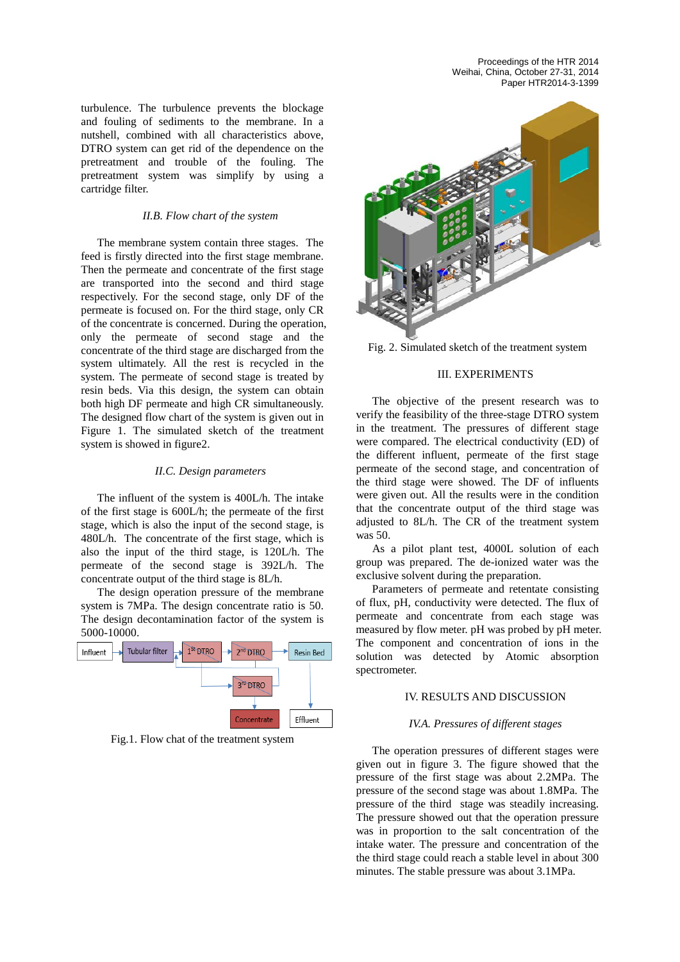Proceedings of the HTR 2014 Weihai, China, October 27-31, 2014 Paper HTR2014-3-1399

turbulence. The turbulence prevents the blockage and fouling of sediments to the membrane. In a nutshell, combined with all characteristics above, DTRO system can get rid of the dependence on the pretreatment and trouble of the fouling. The pretreatment system was simplify by using a cartridge filter.

### *II.B. Flow chart of the system*

The membrane system contain three stages. The feed is firstly directed into the first stage membrane. Then the permeate and concentrate of the first stage are transported into the second and third stage respectively. For the second stage, only DF of the permeate is focused on. For the third stage, only CR of the concentrate is concerned. During the operation, only the permeate of second stage and the concentrate of the third stage are discharged from the system ultimately. All the rest is recycled in the system. The permeate of second stage is treated by resin beds. Via this design, the system can obtain both high DF permeate and high CR simultaneously. The designed flow chart of the system is given out in Figure 1. The simulated sketch of the treatment system is showed in figure2.

#### *II.C. Design parameters*

The influent of the system is 400L/h. The intake of the first stage is 600L/h; the permeate of the first stage, which is also the input of the second stage, is 480L/h. The concentrate of the first stage, which is also the input of the third stage, is 120L/h. The permeate of the second stage is 392L/h. The concentrate output of the third stage is 8L/h.

The design operation pressure of the membrane system is 7MPa. The design concentrate ratio is 50. The design decontamination factor of the system is 5000-10000.



Fig.1. Flow chat of the treatment system



Fig. 2. Simulated sketch of the treatment system

# III. EXPERIMENTS

The objective of the present research was to verify the feasibility of the three-stage DTRO system in the treatment. The pressures of different stage were compared. The [electrical conductivity](http://dict.cn/electrical%20conductivity) (ED) of the different influent, permeate of the first stage permeate of the second stage, and concentration of the third stage were showed. The DF of influents were given out. All the results were in the condition that the concentrate output of the third stage was adjusted to 8L/h. The CR of the treatment system was 50.

As a pilot plant test, 4000L solution of each group was prepared. The de-ionized water was the exclusive solvent during the preparation.

Parameters of permeate and retentate consisting of flux, pH, conductivity were detected. The flux of permeate and concentrate from each stage was measured by flow meter. pH was probed by pH meter. The component and concentration of ions in the solution was detected by Atomic absorption spectrometer.

# IV. RESULTS AND DISCUSSION

# *IV.A. Pressures of different stages*

The operation pressures of different stages were given out in figure 3. The figure showed that the pressure of the first stage was about 2.2MPa. The pressure of the second stage was about 1.8MPa. The pressure of the third stage was steadily increasing. The pressure showed out that the operation pressure was in proportion to the salt concentration of the intake water. The pressure and concentration of the the third stage could reach a stable level in about 300 minutes. The stable pressure was about 3.1MPa.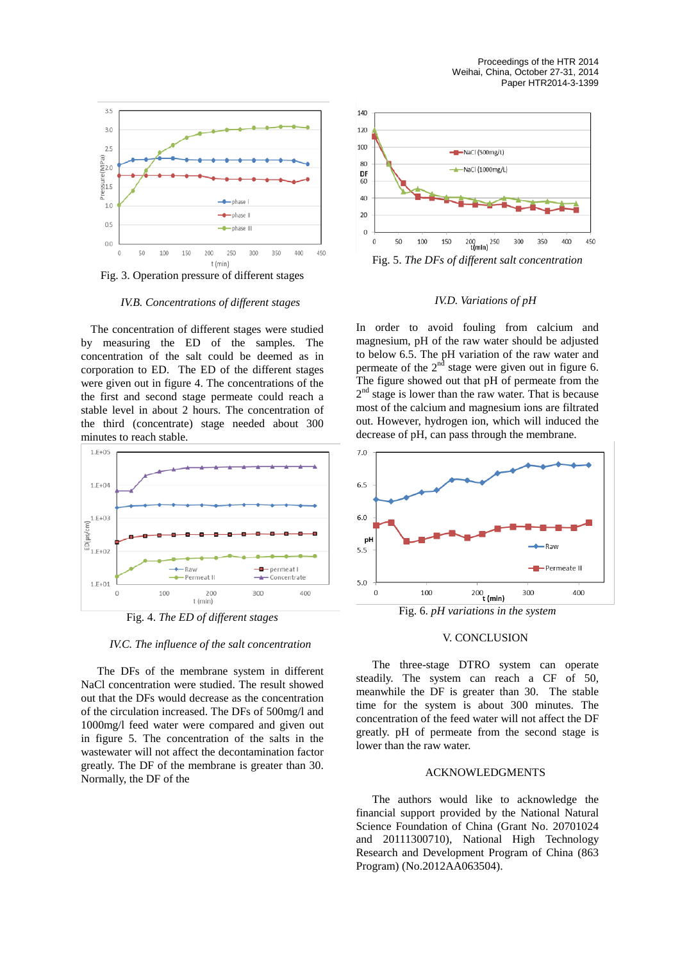

Fig. 3. Operation pressure of different stages

*IV.B. Concentrations of different stages*

The concentration of different stages were studied by measuring the ED of the samples. The concentration of the salt could be deemed as in corporation to ED. The ED of the different stages were given out in figure 4. The concentrations of the the first and second stage permeate could reach a stable level in about 2 hours. The concentration of the third (concentrate) stage needed about 300 minutes to reach stable.



Fig. 4. *The ED of different stages*

*IV.C. The influence of the salt concentration*

The DFs of the membrane system in different NaCl concentration were studied. The result showed out that the DFs would decrease as the concentration of the circulation increased. The DFs of 500mg/l and 1000mg/l feed water were compared and given out in figure 5. The concentration of the salts in the wastewater will not affect the decontamination factor greatly. The DF of the membrane is greater than 30. Normally, the DF of the



#### *IV.D. Variations of pH*

In order to avoid fouling from calcium and magnesium, pH of the raw water should be adjusted to below 6.5. The pH variation of the raw water and permeate of the  $2<sup>nd</sup>$  stage were given out in figure 6. The figure showed out that pH of permeate from the  $2<sup>nd</sup>$  stage is lower than the raw water. That is because most of the calcium and magnesium ions are filtrated out. However, hydrogen ion, which will induced the decrease of pH, can pass through the membrane.



Fig. 6. *pH variations in the system*

#### V. CONCLUSION

The three-stage DTRO system can operate steadily. The system can reach a CF of 50, meanwhile the DF is greater than 30. The stable time for the system is about 300 minutes. The concentration of the feed water will not affect the DF greatly. pH of permeate from the second stage is lower than the raw water.

#### ACKNOWLEDGMENTS

The authors would like to acknowledge the financial support provided by the National Natural Science Foundation of China (Grant No. 20701024 and 20111300710), National High Technology Research and Development Program of China (863 Program) (No.2012AA063504).